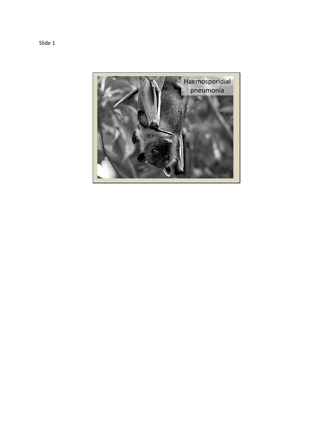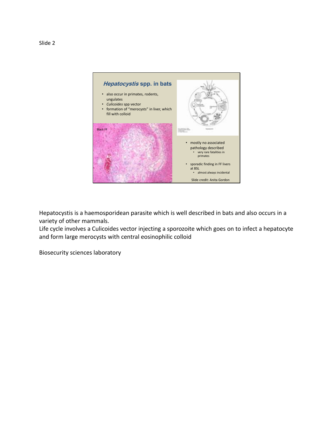

Hepatocystis is a haemosporidean parasite which is well described in bats and also occurs in a variety of other mammals.

Life cycle involves a Culicoides vector injecting a sporozoite which goes on to infect a hepatocyte and form large merocysts with central eosinophilic colloid

Biosecurity sciences laboratory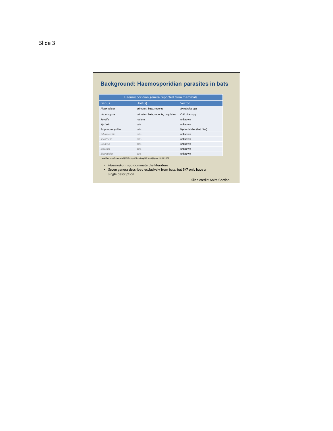## **Background: Haemosporidian parasites in bats**

| Genus                        | Host(s)                                                                                                                                                                                         | Vector                     |
|------------------------------|-------------------------------------------------------------------------------------------------------------------------------------------------------------------------------------------------|----------------------------|
| Plasmodium                   | primates, bats, rodents                                                                                                                                                                         | Anopheles spp              |
| Hepatocystis                 | primates, bats, rodents, ungulates                                                                                                                                                              | Culicoides spp             |
| Rayella                      | rodents                                                                                                                                                                                         | unknown                    |
| Nycteria                     | hats                                                                                                                                                                                            | unknown                    |
| Polychromophilus             | hats                                                                                                                                                                                            | Nycteribiidae (bat flies)  |
| Johnsprentia                 | bats                                                                                                                                                                                            | unknown                    |
| Sprattiella                  | bats                                                                                                                                                                                            | unknown                    |
| Dionisia                     | bats                                                                                                                                                                                            | unknown                    |
| Bioccala                     | bats                                                                                                                                                                                            | unknown                    |
| Biauetiella                  | hats                                                                                                                                                                                            | unknown                    |
| ٠<br>٠<br>single description | Modified from Schaer et al (2015) http://dx.doi.org/10.1016/j.ijpara.2015.01.008<br>Plasmodium spp dominate the literature<br>Seven genera described exclusively from bats, but 5/7 only have a |                            |
|                              |                                                                                                                                                                                                 | Slide credit: Anita Gordon |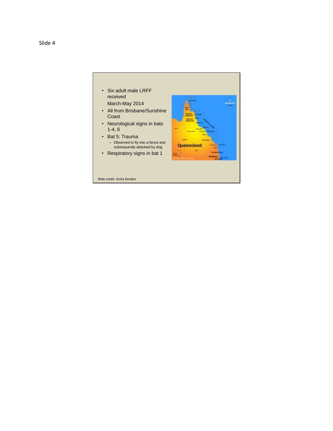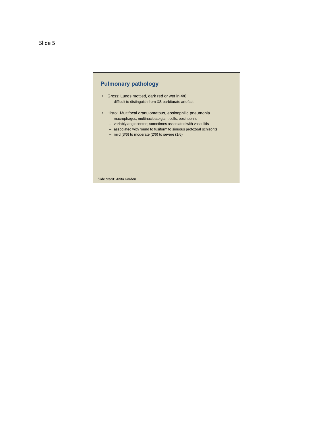## **Pulmonary pathology**

- Gross: Lungs mottled, dark red or wet in 4/6 - difficult to distinguish from XS barbiturate artefact
- Histo: Multifocal granulomatous, eosinophilic pneumonia – macrophages, multinucleate giant cells, eosinophils
	- variably angiocentric; sometimes associated with vasculitis
	- associated with round to fusiform to sinuous protozoal schizonts
	- mild (3/6) to moderate (2/6) to severe (1/6)

Slide credit: Anita Gordon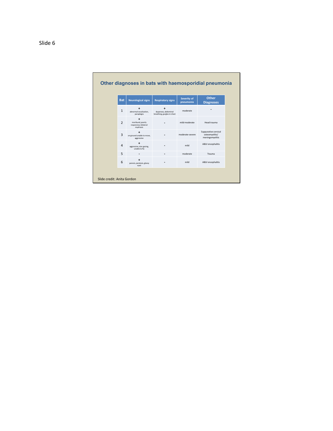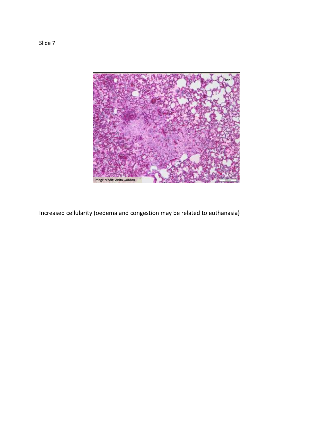

Increased cellularity (oedema and congestion may be related to euthanasia)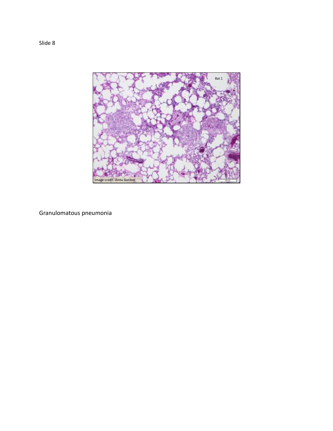

Granulomatous pneumonia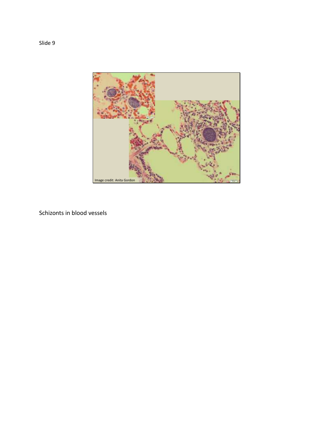

Schizonts in blood vessels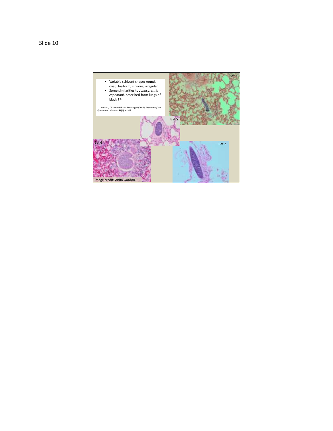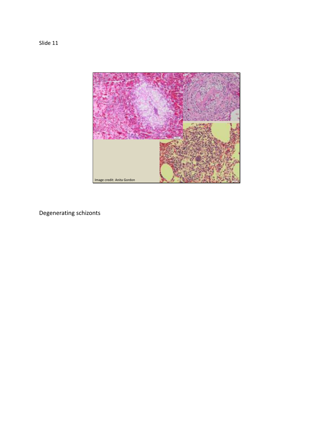



Degenerating schizonts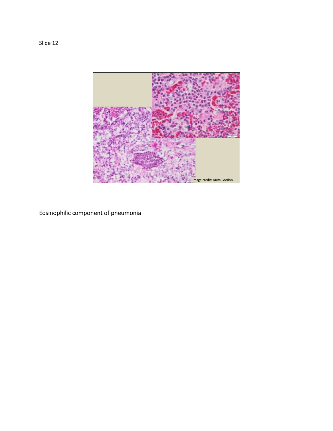

Eosinophilic component of pneumonia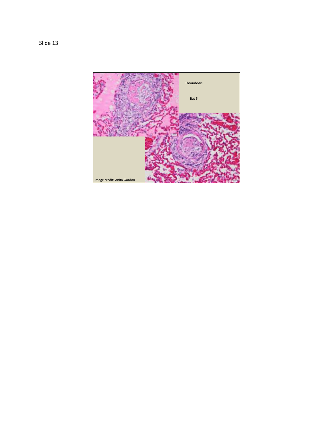Slide 13

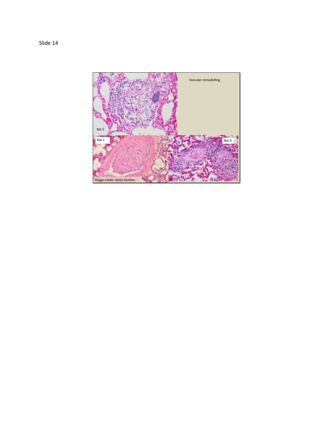Slide 14

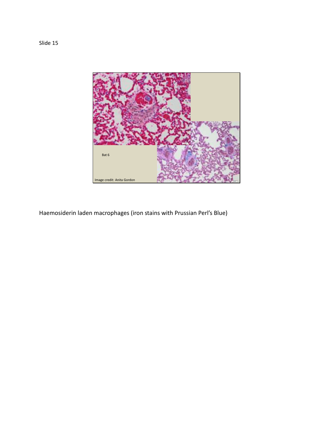

Haemosiderin laden macrophages (iron stains with Prussian Perl's Blue)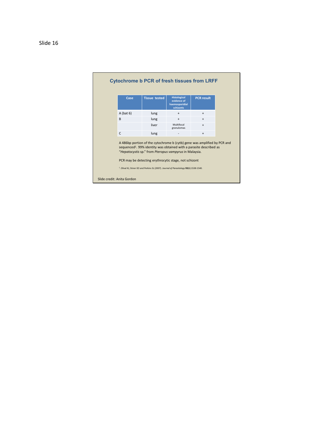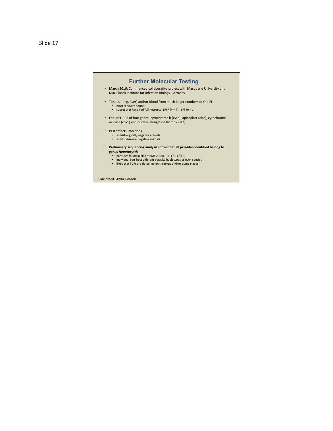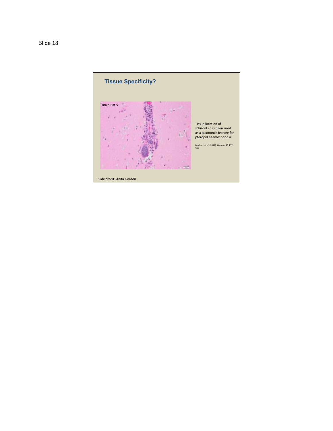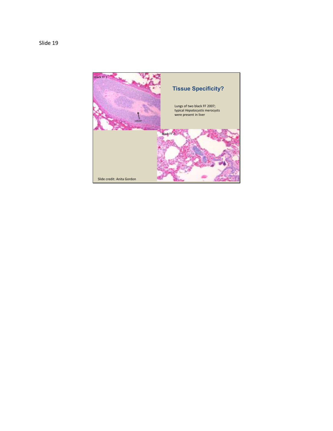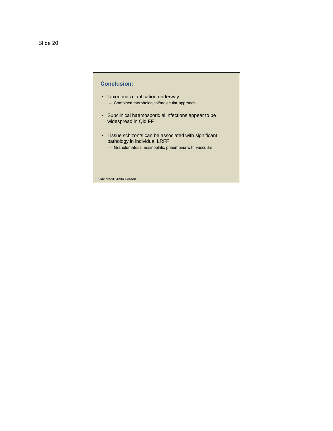## • Taxonomic clarification underway – Combined morphological/molecular approach • Subclinical haemosporidial infections appear to be widespread in Qld FF • Tissue schizonts can be associated with significant pathology in individual LRFF – Granulomatous, eosinophilic pneumonia with vasculitis **Conclusion:**  Slide credit: Anita Gordon